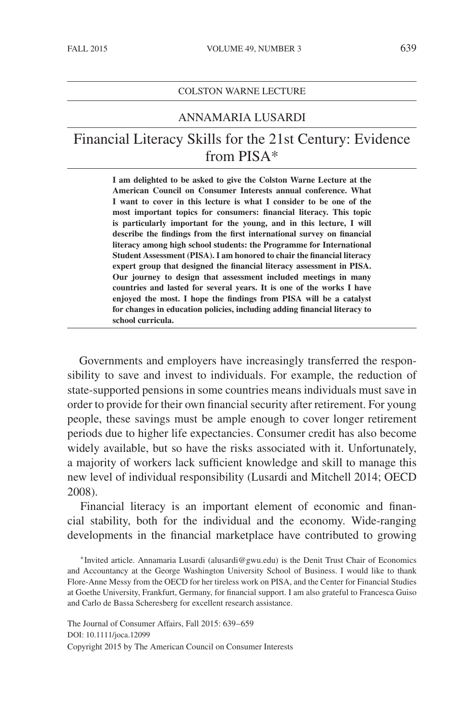### COLSTON WARNE LECTURE

# ANNAMARIA LUSARDI

# Financial Literacy Skills for the 21st Century: Evidence from PISA\*

**I am delighted to be asked to give the Colston Warne Lecture at the American Council on Consumer Interests annual conference. What I want to cover in this lecture is what I consider to be one of the most important topics for consumers: financial literacy. This topic is particularly important for the young, and in this lecture, I will describe the findings from the first international survey on financial literacy among high school students: the Programme for International Student Assessment (PISA). I am honored to chair the financial literacy expert group that designed the financial literacy assessment in PISA. Our journey to design that assessment included meetings in many countries and lasted for several years. It is one of the works I have enjoyed the most. I hope the findings from PISA will be a catalyst for changes in education policies, including adding financial literacy to school curricula.**

Governments and employers have increasingly transferred the responsibility to save and invest to individuals. For example, the reduction of state-supported pensions in some countries means individuals must save in order to provide for their own financial security after retirement. For young people, these savings must be ample enough to cover longer retirement periods due to higher life expectancies. Consumer credit has also become widely available, but so have the risks associated with it. Unfortunately, a majority of workers lack sufficient knowledge and skill to manage this new level of individual responsibility (Lusardi and Mitchell 2014; OECD 2008).

Financial literacy is an important element of economic and financial stability, both for the individual and the economy. Wide-ranging developments in the financial marketplace have contributed to growing

<sup>∗</sup>Invited article. Annamaria Lusardi (alusardi@gwu.edu) is the Denit Trust Chair of Economics and Accountancy at the George Washington University School of Business. I would like to thank Flore-Anne Messy from the OECD for her tireless work on PISA, and the Center for Financial Studies at Goethe University, Frankfurt, Germany, for financial support. I am also grateful to Francesca Guiso and Carlo de Bassa Scheresberg for excellent research assistance.

The Journal of Consumer Affairs, Fall 2015: 639–659 DOI: 10.1111/joca.12099 Copyright 2015 by The American Council on Consumer Interests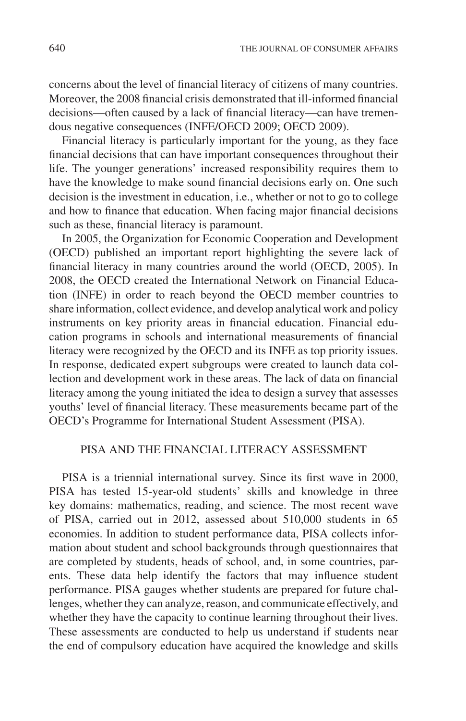concerns about the level of financial literacy of citizens of many countries. Moreover, the 2008 financial crisis demonstrated that ill-informed financial decisions—often caused by a lack of financial literacy—can have tremendous negative consequences (INFE/OECD 2009; OECD 2009).

Financial literacy is particularly important for the young, as they face financial decisions that can have important consequences throughout their life. The younger generations' increased responsibility requires them to have the knowledge to make sound financial decisions early on. One such decision is the investment in education, i.e., whether or not to go to college and how to finance that education. When facing major financial decisions such as these, financial literacy is paramount.

In 2005, the Organization for Economic Cooperation and Development (OECD) published an important report highlighting the severe lack of financial literacy in many countries around the world (OECD, 2005). In 2008, the OECD created the International Network on Financial Education (INFE) in order to reach beyond the OECD member countries to share information, collect evidence, and develop analytical work and policy instruments on key priority areas in financial education. Financial education programs in schools and international measurements of financial literacy were recognized by the OECD and its INFE as top priority issues. In response, dedicated expert subgroups were created to launch data collection and development work in these areas. The lack of data on financial literacy among the young initiated the idea to design a survey that assesses youths' level of financial literacy. These measurements became part of the OECD's Programme for International Student Assessment (PISA).

# PISA AND THE FINANCIAL LITERACY ASSESSMENT

PISA is a triennial international survey. Since its first wave in 2000, PISA has tested 15-year-old students' skills and knowledge in three key domains: mathematics, reading, and science. The most recent wave of PISA, carried out in 2012, assessed about 510,000 students in 65 economies. In addition to student performance data, PISA collects information about student and school backgrounds through questionnaires that are completed by students, heads of school, and, in some countries, parents. These data help identify the factors that may influence student performance. PISA gauges whether students are prepared for future challenges, whether they can analyze, reason, and communicate effectively, and whether they have the capacity to continue learning throughout their lives. These assessments are conducted to help us understand if students near the end of compulsory education have acquired the knowledge and skills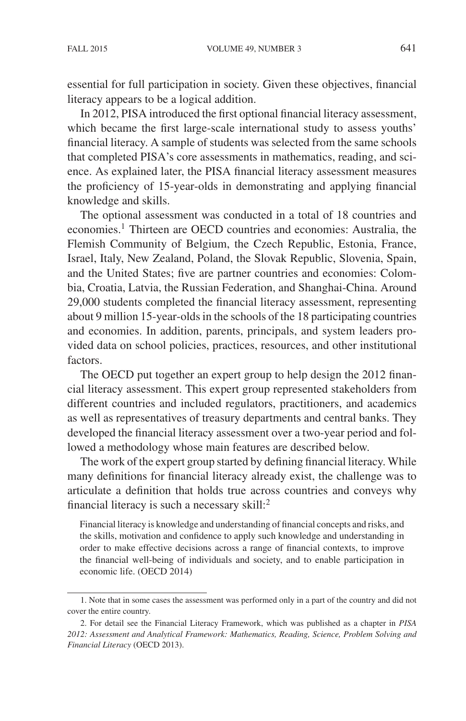essential for full participation in society. Given these objectives, financial literacy appears to be a logical addition.

In 2012, PISA introduced the first optional financial literacy assessment, which became the first large-scale international study to assess youths' financial literacy. A sample of students was selected from the same schools that completed PISA's core assessments in mathematics, reading, and science. As explained later, the PISA financial literacy assessment measures the proficiency of 15-year-olds in demonstrating and applying financial knowledge and skills.

The optional assessment was conducted in a total of 18 countries and economies.1 Thirteen are OECD countries and economies: Australia, the Flemish Community of Belgium, the Czech Republic, Estonia, France, Israel, Italy, New Zealand, Poland, the Slovak Republic, Slovenia, Spain, and the United States; five are partner countries and economies: Colombia, Croatia, Latvia, the Russian Federation, and Shanghai-China. Around 29,000 students completed the financial literacy assessment, representing about 9 million 15-year-olds in the schools of the 18 participating countries and economies. In addition, parents, principals, and system leaders provided data on school policies, practices, resources, and other institutional factors.

The OECD put together an expert group to help design the 2012 financial literacy assessment. This expert group represented stakeholders from different countries and included regulators, practitioners, and academics as well as representatives of treasury departments and central banks. They developed the financial literacy assessment over a two-year period and followed a methodology whose main features are described below.

The work of the expert group started by defining financial literacy. While many definitions for financial literacy already exist, the challenge was to articulate a definition that holds true across countries and conveys why financial literacy is such a necessary skill:2

Financial literacy is knowledge and understanding of financial concepts and risks, and the skills, motivation and confidence to apply such knowledge and understanding in order to make effective decisions across a range of financial contexts, to improve the financial well-being of individuals and society, and to enable participation in economic life. (OECD 2014)

<sup>1.</sup> Note that in some cases the assessment was performed only in a part of the country and did not cover the entire country.

<sup>2.</sup> For detail see the Financial Literacy Framework, which was published as a chapter in *PISA 2012: Assessment and Analytical Framework: Mathematics, Reading, Science, Problem Solving and Financial Literacy* (OECD 2013).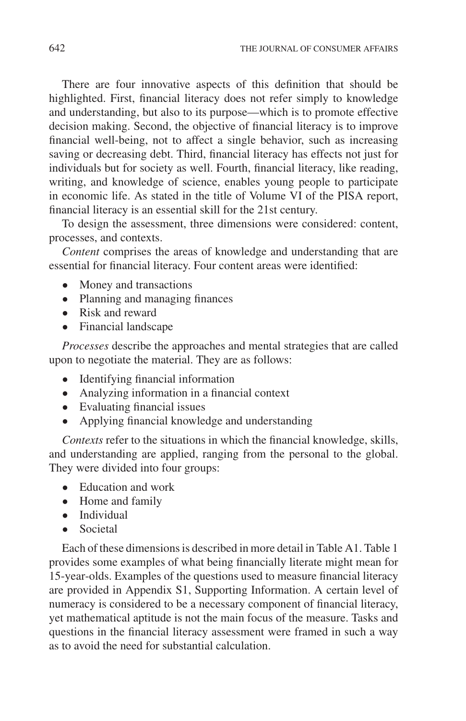There are four innovative aspects of this definition that should be highlighted. First, financial literacy does not refer simply to knowledge and understanding, but also to its purpose—which is to promote effective decision making. Second, the objective of financial literacy is to improve financial well-being, not to affect a single behavior, such as increasing saving or decreasing debt. Third, financial literacy has effects not just for individuals but for society as well. Fourth, financial literacy, like reading, writing, and knowledge of science, enables young people to participate in economic life. As stated in the title of Volume VI of the PISA report, financial literacy is an essential skill for the 21st century.

To design the assessment, three dimensions were considered: content, processes, and contexts.

*Content* comprises the areas of knowledge and understanding that are essential for financial literacy. Four content areas were identified:

- Money and transactions
- Planning and managing finances
- Risk and reward
- Financial landscape

*Processes* describe the approaches and mental strategies that are called upon to negotiate the material. They are as follows:

- Identifying financial information
- Analyzing information in a financial context
- Evaluating financial issues
- Applying financial knowledge and understanding

*Contexts* refer to the situations in which the financial knowledge, skills, and understanding are applied, ranging from the personal to the global. They were divided into four groups:

- Education and work
- Home and family
- Individual
- Societal

Each of these dimensions is described in more detail in Table A1. Table 1 provides some examples of what being financially literate might mean for 15-year-olds. Examples of the questions used to measure financial literacy are provided in Appendix S1, Supporting Information. A certain level of numeracy is considered to be a necessary component of financial literacy, yet mathematical aptitude is not the main focus of the measure. Tasks and questions in the financial literacy assessment were framed in such a way as to avoid the need for substantial calculation.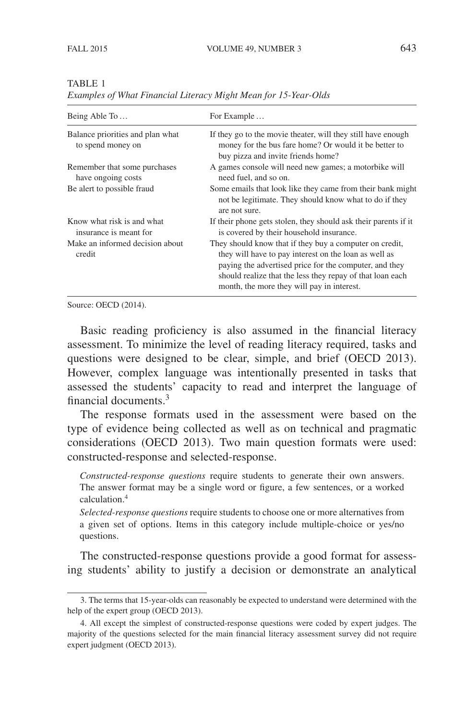|--|--|

*Examples of What Financial Literacy Might Mean for 15-Year-Olds*

| Being Able To                                         | For Example                                                                                                                                                                                                                                                                           |
|-------------------------------------------------------|---------------------------------------------------------------------------------------------------------------------------------------------------------------------------------------------------------------------------------------------------------------------------------------|
| Balance priorities and plan what<br>to spend money on | If they go to the movie theater, will they still have enough<br>money for the bus fare home? Or would it be better to<br>buy pizza and invite friends home?                                                                                                                           |
| Remember that some purchases<br>have ongoing costs    | A games console will need new games; a motorbike will<br>need fuel, and so on.                                                                                                                                                                                                        |
| Be alert to possible fraud                            | Some emails that look like they came from their bank might<br>not be legitimate. They should know what to do if they<br>are not sure.                                                                                                                                                 |
| Know what risk is and what<br>insurance is meant for  | If their phone gets stolen, they should ask their parents if it<br>is covered by their household insurance.                                                                                                                                                                           |
| Make an informed decision about<br>credit             | They should know that if they buy a computer on credit,<br>they will have to pay interest on the loan as well as<br>paying the advertised price for the computer, and they<br>should realize that the less they repay of that loan each<br>month, the more they will pay in interest. |

Source: OECD (2014).

Basic reading proficiency is also assumed in the financial literacy assessment. To minimize the level of reading literacy required, tasks and questions were designed to be clear, simple, and brief (OECD 2013). However, complex language was intentionally presented in tasks that assessed the students' capacity to read and interpret the language of financial documents.3

The response formats used in the assessment were based on the type of evidence being collected as well as on technical and pragmatic considerations (OECD 2013). Two main question formats were used: constructed-response and selected-response.

*Constructed-response questions* require students to generate their own answers. The answer format may be a single word or figure, a few sentences, or a worked calculation.4

*Selected-response questions* require students to choose one or more alternatives from a given set of options. Items in this category include multiple-choice or yes/no questions.

The constructed-response questions provide a good format for assessing students' ability to justify a decision or demonstrate an analytical

<sup>3.</sup> The terms that 15-year-olds can reasonably be expected to understand were determined with the help of the expert group (OECD 2013).

<sup>4.</sup> All except the simplest of constructed-response questions were coded by expert judges. The majority of the questions selected for the main financial literacy assessment survey did not require expert judgment (OECD 2013).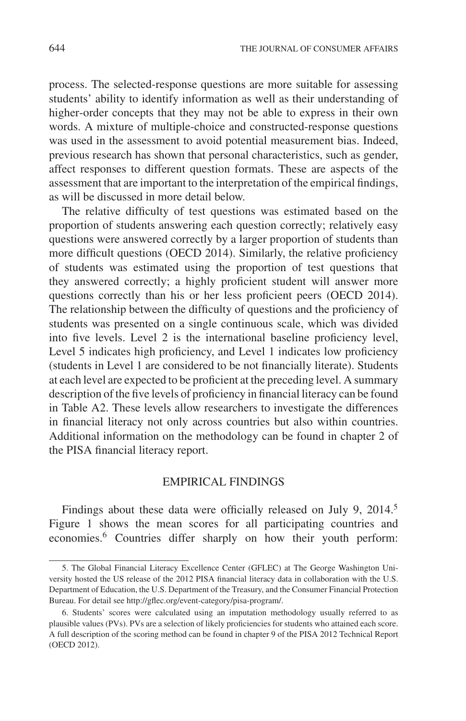process. The selected-response questions are more suitable for assessing students' ability to identify information as well as their understanding of higher-order concepts that they may not be able to express in their own words. A mixture of multiple-choice and constructed-response questions was used in the assessment to avoid potential measurement bias. Indeed, previous research has shown that personal characteristics, such as gender, affect responses to different question formats. These are aspects of the assessment that are important to the interpretation of the empirical findings, as will be discussed in more detail below.

The relative difficulty of test questions was estimated based on the proportion of students answering each question correctly; relatively easy questions were answered correctly by a larger proportion of students than more difficult questions (OECD 2014). Similarly, the relative proficiency of students was estimated using the proportion of test questions that they answered correctly; a highly proficient student will answer more questions correctly than his or her less proficient peers (OECD 2014). The relationship between the difficulty of questions and the proficiency of students was presented on a single continuous scale, which was divided into five levels. Level 2 is the international baseline proficiency level, Level 5 indicates high proficiency, and Level 1 indicates low proficiency (students in Level 1 are considered to be not financially literate). Students at each level are expected to be proficient at the preceding level. A summary description of the five levels of proficiency in financial literacy can be found in Table A2. These levels allow researchers to investigate the differences in financial literacy not only across countries but also within countries. Additional information on the methodology can be found in chapter 2 of the PISA financial literacy report.

# EMPIRICAL FINDINGS

Findings about these data were officially released on July 9, 2014.<sup>5</sup> Figure 1 shows the mean scores for all participating countries and economies.6 Countries differ sharply on how their youth perform:

<sup>5.</sup> The Global Financial Literacy Excellence Center (GFLEC) at The George Washington University hosted the US release of the 2012 PISA financial literacy data in collaboration with the U.S. Department of Education, the U.S. Department of the Treasury, and the Consumer Financial Protection Bureau. For detail see http://gflec.org/event-category/pisa-program/.

<sup>6.</sup> Students' scores were calculated using an imputation methodology usually referred to as plausible values (PVs). PVs are a selection of likely proficiencies for students who attained each score. A full description of the scoring method can be found in chapter 9 of the PISA 2012 Technical Report (OECD 2012).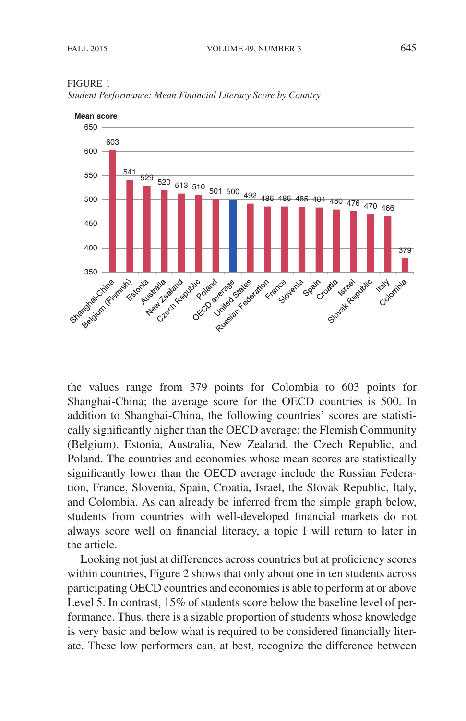

FIGURE 1

*Student Performance: Mean Financial Literacy Score by Country*

the values range from 379 points for Colombia to 603 points for Shanghai-China; the average score for the OECD countries is 500. In addition to Shanghai-China, the following countries' scores are statistically significantly higher than the OECD average: the Flemish Community (Belgium), Estonia, Australia, New Zealand, the Czech Republic, and Poland. The countries and economies whose mean scores are statistically significantly lower than the OECD average include the Russian Federation, France, Slovenia, Spain, Croatia, Israel, the Slovak Republic, Italy, and Colombia. As can already be inferred from the simple graph below, students from countries with well-developed financial markets do not always score well on financial literacy, a topic I will return to later in the article.

Looking not just at differences across countries but at proficiency scores within countries, Figure 2 shows that only about one in ten students across participating OECD countries and economies is able to perform at or above Level 5. In contrast, 15% of students score below the baseline level of performance. Thus, there is a sizable proportion of students whose knowledge is very basic and below what is required to be considered financially literate. These low performers can, at best, recognize the difference between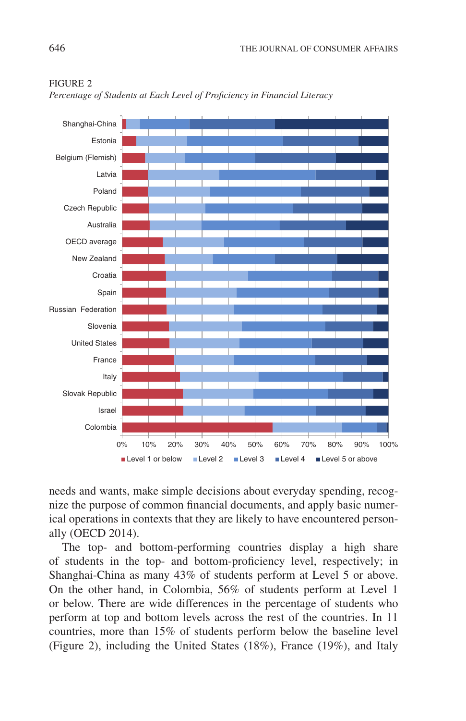

FIGURE 2

*Percentage of Students at Each Level of Proficiency in Financial Literacy*

needs and wants, make simple decisions about everyday spending, recognize the purpose of common financial documents, and apply basic numerical operations in contexts that they are likely to have encountered personally (OECD 2014).

The top- and bottom-performing countries display a high share of students in the top- and bottom-proficiency level, respectively; in Shanghai-China as many 43% of students perform at Level 5 or above. On the other hand, in Colombia, 56% of students perform at Level 1 or below. There are wide differences in the percentage of students who perform at top and bottom levels across the rest of the countries. In 11 countries, more than 15% of students perform below the baseline level (Figure 2), including the United States (18%), France (19%), and Italy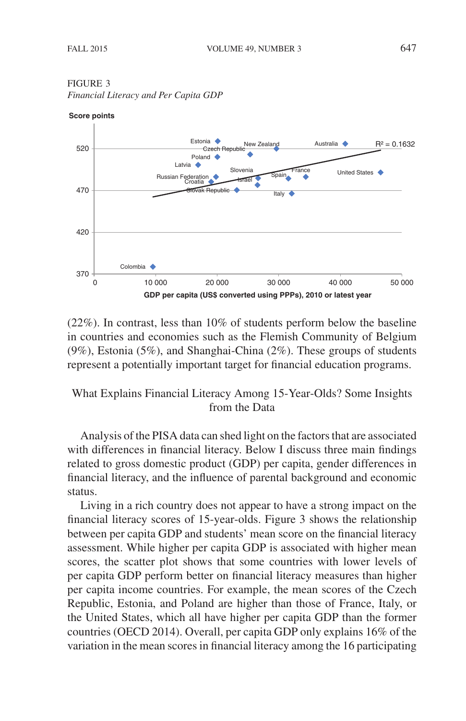*Financial Literacy and Per Capita GDP*



**Score points**

(22%). In contrast, less than 10% of students perform below the baseline in countries and economies such as the Flemish Community of Belgium (9%), Estonia (5%), and Shanghai-China (2%). These groups of students represent a potentially important target for financial education programs.

# What Explains Financial Literacy Among 15-Year-Olds? Some Insights from the Data

Analysis of the PISA data can shed light on the factors that are associated with differences in financial literacy. Below I discuss three main findings related to gross domestic product (GDP) per capita, gender differences in financial literacy, and the influence of parental background and economic status.

Living in a rich country does not appear to have a strong impact on the financial literacy scores of 15-year-olds. Figure 3 shows the relationship between per capita GDP and students' mean score on the financial literacy assessment. While higher per capita GDP is associated with higher mean scores, the scatter plot shows that some countries with lower levels of per capita GDP perform better on financial literacy measures than higher per capita income countries. For example, the mean scores of the Czech Republic, Estonia, and Poland are higher than those of France, Italy, or the United States, which all have higher per capita GDP than the former countries (OECD 2014). Overall, per capita GDP only explains 16% of the variation in the mean scores in financial literacy among the 16 participating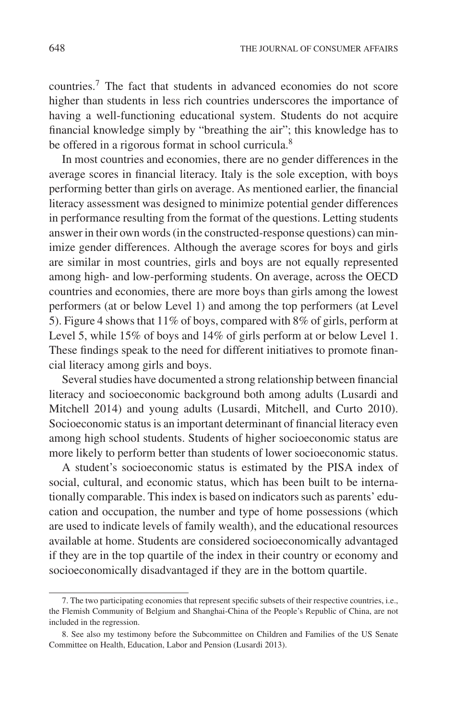countries.7 The fact that students in advanced economies do not score higher than students in less rich countries underscores the importance of having a well-functioning educational system. Students do not acquire financial knowledge simply by "breathing the air"; this knowledge has to be offered in a rigorous format in school curricula.<sup>8</sup>

In most countries and economies, there are no gender differences in the average scores in financial literacy. Italy is the sole exception, with boys performing better than girls on average. As mentioned earlier, the financial literacy assessment was designed to minimize potential gender differences in performance resulting from the format of the questions. Letting students answer in their own words (in the constructed-response questions) can minimize gender differences. Although the average scores for boys and girls are similar in most countries, girls and boys are not equally represented among high- and low-performing students. On average, across the OECD countries and economies, there are more boys than girls among the lowest performers (at or below Level 1) and among the top performers (at Level 5). Figure 4 shows that 11% of boys, compared with 8% of girls, perform at Level 5, while 15% of boys and 14% of girls perform at or below Level 1. These findings speak to the need for different initiatives to promote financial literacy among girls and boys.

Several studies have documented a strong relationship between financial literacy and socioeconomic background both among adults (Lusardi and Mitchell 2014) and young adults (Lusardi, Mitchell, and Curto 2010). Socioeconomic status is an important determinant of financial literacy even among high school students. Students of higher socioeconomic status are more likely to perform better than students of lower socioeconomic status.

A student's socioeconomic status is estimated by the PISA index of social, cultural, and economic status, which has been built to be internationally comparable. This index is based on indicators such as parents' education and occupation, the number and type of home possessions (which are used to indicate levels of family wealth), and the educational resources available at home. Students are considered socioeconomically advantaged if they are in the top quartile of the index in their country or economy and socioeconomically disadvantaged if they are in the bottom quartile.

<sup>7.</sup> The two participating economies that represent specific subsets of their respective countries, i.e., the Flemish Community of Belgium and Shanghai-China of the People's Republic of China, are not included in the regression.

<sup>8.</sup> See also my testimony before the Subcommittee on Children and Families of the US Senate Committee on Health, Education, Labor and Pension (Lusardi 2013).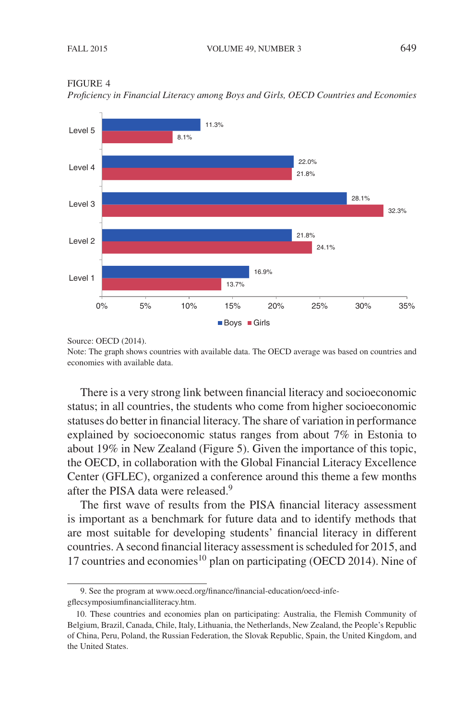

FIGURE 4

*Proficiency in Financial Literacy among Boys and Girls, OECD Countries and Economies*

Note: The graph shows countries with available data. The OECD average was based on countries and economies with available data.

There is a very strong link between financial literacy and socioeconomic status; in all countries, the students who come from higher socioeconomic statuses do better in financial literacy. The share of variation in performance explained by socioeconomic status ranges from about 7% in Estonia to about 19% in New Zealand (Figure 5). Given the importance of this topic, the OECD, in collaboration with the Global Financial Literacy Excellence Center (GFLEC), organized a conference around this theme a few months after the PISA data were released.<sup>9</sup>

The first wave of results from the PISA financial literacy assessment is important as a benchmark for future data and to identify methods that are most suitable for developing students' financial literacy in different countries. A second financial literacy assessment is scheduled for 2015, and 17 countries and economies<sup>10</sup> plan on participating (OECD 2014). Nine of

Source: OECD (2014).

<sup>9.</sup> See the program at www.oecd.org/finance/financial-education/oecd-infegflecsymposiumfinancialliteracy.htm.

<sup>10.</sup> These countries and economies plan on participating: Australia, the Flemish Community of Belgium, Brazil, Canada, Chile, Italy, Lithuania, the Netherlands, New Zealand, the People's Republic of China, Peru, Poland, the Russian Federation, the Slovak Republic, Spain, the United Kingdom, and the United States.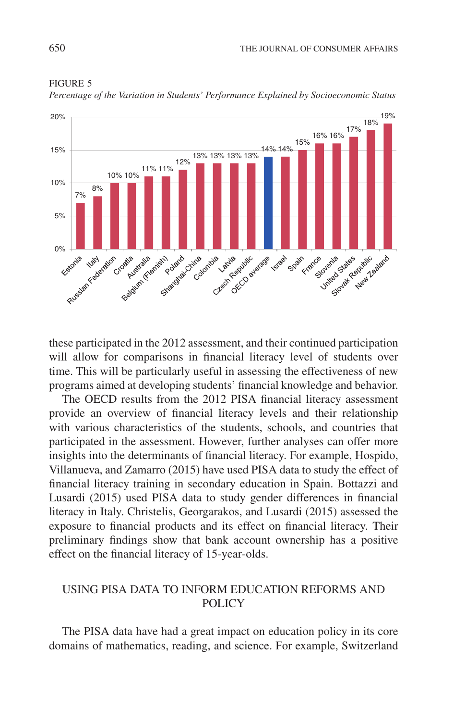

#### FIGURE 5

*Percentage of the Variation in Students' Performance Explained by Socioeconomic Status*

these participated in the 2012 assessment, and their continued participation will allow for comparisons in financial literacy level of students over time. This will be particularly useful in assessing the effectiveness of new programs aimed at developing students' financial knowledge and behavior.

The OECD results from the 2012 PISA financial literacy assessment provide an overview of financial literacy levels and their relationship with various characteristics of the students, schools, and countries that participated in the assessment. However, further analyses can offer more insights into the determinants of financial literacy. For example, Hospido, Villanueva, and Zamarro (2015) have used PISA data to study the effect of financial literacy training in secondary education in Spain. Bottazzi and Lusardi (2015) used PISA data to study gender differences in financial literacy in Italy. Christelis, Georgarakos, and Lusardi (2015) assessed the exposure to financial products and its effect on financial literacy. Their preliminary findings show that bank account ownership has a positive effect on the financial literacy of 15-year-olds.

# USING PISA DATA TO INFORM EDUCATION REFORMS AND **POLICY**

The PISA data have had a great impact on education policy in its core domains of mathematics, reading, and science. For example, Switzerland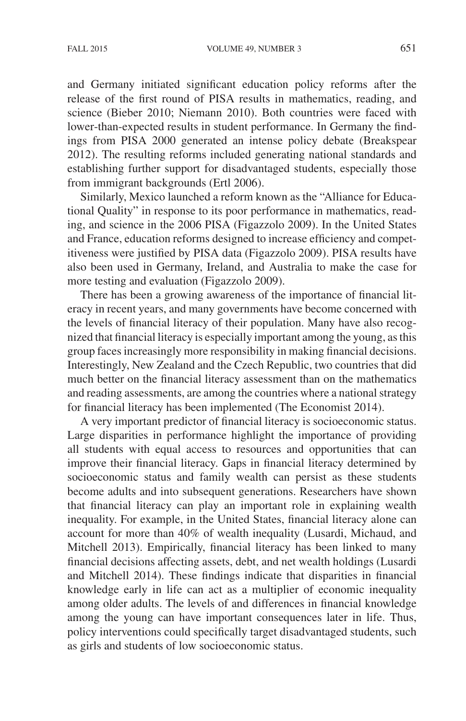and Germany initiated significant education policy reforms after the release of the first round of PISA results in mathematics, reading, and science (Bieber 2010; Niemann 2010). Both countries were faced with lower-than-expected results in student performance. In Germany the findings from PISA 2000 generated an intense policy debate (Breakspear 2012). The resulting reforms included generating national standards and establishing further support for disadvantaged students, especially those from immigrant backgrounds (Ertl 2006).

Similarly, Mexico launched a reform known as the "Alliance for Educational Quality" in response to its poor performance in mathematics, reading, and science in the 2006 PISA (Figazzolo 2009). In the United States and France, education reforms designed to increase efficiency and competitiveness were justified by PISA data (Figazzolo 2009). PISA results have also been used in Germany, Ireland, and Australia to make the case for more testing and evaluation (Figazzolo 2009).

There has been a growing awareness of the importance of financial literacy in recent years, and many governments have become concerned with the levels of financial literacy of their population. Many have also recognized that financial literacy is especially important among the young, as this group faces increasingly more responsibility in making financial decisions. Interestingly, New Zealand and the Czech Republic, two countries that did much better on the financial literacy assessment than on the mathematics and reading assessments, are among the countries where a national strategy for financial literacy has been implemented (The Economist 2014).

A very important predictor of financial literacy is socioeconomic status. Large disparities in performance highlight the importance of providing all students with equal access to resources and opportunities that can improve their financial literacy. Gaps in financial literacy determined by socioeconomic status and family wealth can persist as these students become adults and into subsequent generations. Researchers have shown that financial literacy can play an important role in explaining wealth inequality. For example, in the United States, financial literacy alone can account for more than 40% of wealth inequality (Lusardi, Michaud, and Mitchell 2013). Empirically, financial literacy has been linked to many financial decisions affecting assets, debt, and net wealth holdings (Lusardi and Mitchell 2014). These findings indicate that disparities in financial knowledge early in life can act as a multiplier of economic inequality among older adults. The levels of and differences in financial knowledge among the young can have important consequences later in life. Thus, policy interventions could specifically target disadvantaged students, such as girls and students of low socioeconomic status.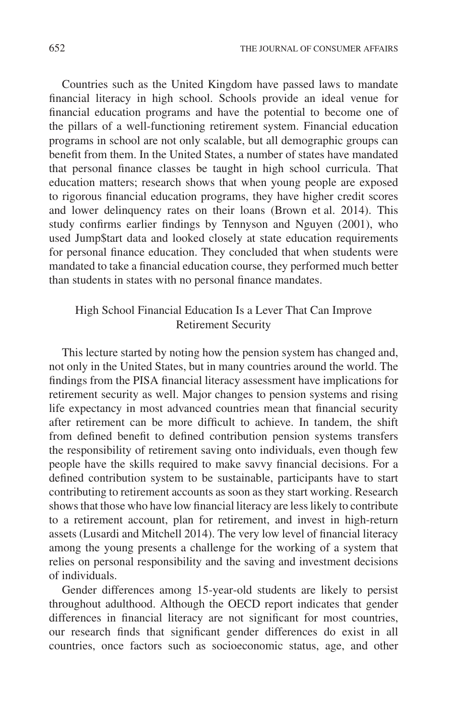Countries such as the United Kingdom have passed laws to mandate financial literacy in high school. Schools provide an ideal venue for financial education programs and have the potential to become one of the pillars of a well-functioning retirement system. Financial education programs in school are not only scalable, but all demographic groups can benefit from them. In the United States, a number of states have mandated that personal finance classes be taught in high school curricula. That education matters; research shows that when young people are exposed to rigorous financial education programs, they have higher credit scores and lower delinquency rates on their loans (Brown et al. 2014). This study confirms earlier findings by Tennyson and Nguyen (2001), who used Jump\$tart data and looked closely at state education requirements for personal finance education. They concluded that when students were mandated to take a financial education course, they performed much better than students in states with no personal finance mandates.

# High School Financial Education Is a Lever That Can Improve Retirement Security

This lecture started by noting how the pension system has changed and, not only in the United States, but in many countries around the world. The findings from the PISA financial literacy assessment have implications for retirement security as well. Major changes to pension systems and rising life expectancy in most advanced countries mean that financial security after retirement can be more difficult to achieve. In tandem, the shift from defined benefit to defined contribution pension systems transfers the responsibility of retirement saving onto individuals, even though few people have the skills required to make savvy financial decisions. For a defined contribution system to be sustainable, participants have to start contributing to retirement accounts as soon as they start working. Research shows that those who have low financial literacy are less likely to contribute to a retirement account, plan for retirement, and invest in high-return assets (Lusardi and Mitchell 2014). The very low level of financial literacy among the young presents a challenge for the working of a system that relies on personal responsibility and the saving and investment decisions of individuals.

Gender differences among 15-year-old students are likely to persist throughout adulthood. Although the OECD report indicates that gender differences in financial literacy are not significant for most countries, our research finds that significant gender differences do exist in all countries, once factors such as socioeconomic status, age, and other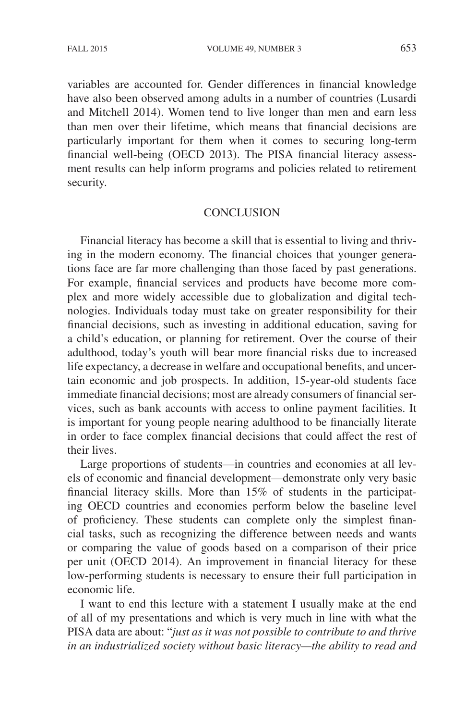variables are accounted for. Gender differences in financial knowledge have also been observed among adults in a number of countries (Lusardi and Mitchell 2014). Women tend to live longer than men and earn less than men over their lifetime, which means that financial decisions are particularly important for them when it comes to securing long-term financial well-being (OECD 2013). The PISA financial literacy assessment results can help inform programs and policies related to retirement security.

### **CONCLUSION**

Financial literacy has become a skill that is essential to living and thriving in the modern economy. The financial choices that younger generations face are far more challenging than those faced by past generations. For example, financial services and products have become more complex and more widely accessible due to globalization and digital technologies. Individuals today must take on greater responsibility for their financial decisions, such as investing in additional education, saving for a child's education, or planning for retirement. Over the course of their adulthood, today's youth will bear more financial risks due to increased life expectancy, a decrease in welfare and occupational benefits, and uncertain economic and job prospects. In addition, 15-year-old students face immediate financial decisions; most are already consumers of financial services, such as bank accounts with access to online payment facilities. It is important for young people nearing adulthood to be financially literate in order to face complex financial decisions that could affect the rest of their lives.

Large proportions of students—in countries and economies at all levels of economic and financial development—demonstrate only very basic financial literacy skills. More than 15% of students in the participating OECD countries and economies perform below the baseline level of proficiency. These students can complete only the simplest financial tasks, such as recognizing the difference between needs and wants or comparing the value of goods based on a comparison of their price per unit (OECD 2014). An improvement in financial literacy for these low-performing students is necessary to ensure their full participation in economic life.

I want to end this lecture with a statement I usually make at the end of all of my presentations and which is very much in line with what the PISA data are about: "*just as it was not possible to contribute to and thrive in an industrialized society without basic literacy—the ability to read and*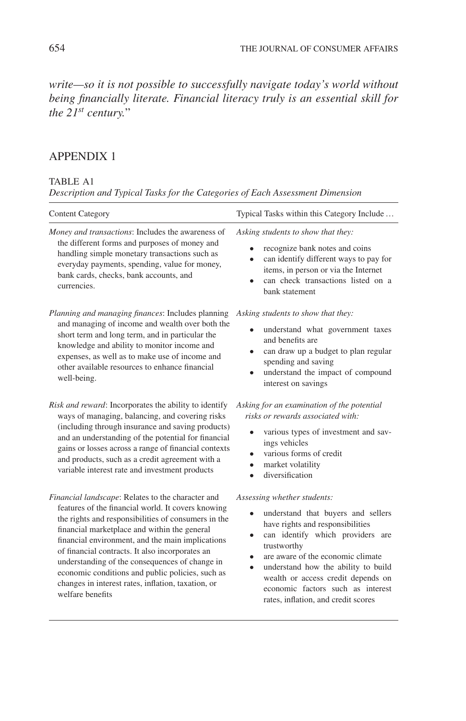rates, inflation, and credit scores

*write—so it is not possible to successfully navigate today's world without being financially literate. Financial literacy truly is an essential skill for the 21st century.*"

# APPENDIX 1

# TABLE A1

*Description and Typical Tasks for the Categories of Each Assessment Dimension*

| <b>Content Category</b>                                                                                                                                                                                                                                                                                                                                                                                                                                                                               | Typical Tasks within this Category Include                                                                                                                                                                                                                                                                      |
|-------------------------------------------------------------------------------------------------------------------------------------------------------------------------------------------------------------------------------------------------------------------------------------------------------------------------------------------------------------------------------------------------------------------------------------------------------------------------------------------------------|-----------------------------------------------------------------------------------------------------------------------------------------------------------------------------------------------------------------------------------------------------------------------------------------------------------------|
| Money and transactions: Includes the awareness of<br>the different forms and purposes of money and<br>handling simple monetary transactions such as<br>everyday payments, spending, value for money,<br>bank cards, checks, bank accounts, and<br>currencies.                                                                                                                                                                                                                                         | Asking students to show that they:<br>recognize bank notes and coins<br>can identify different ways to pay for<br>items, in person or via the Internet<br>can check transactions listed on a<br>$\bullet$<br>bank statement                                                                                     |
| Planning and managing finances: Includes planning<br>and managing of income and wealth over both the<br>short term and long term, and in particular the<br>knowledge and ability to monitor income and<br>expenses, as well as to make use of income and<br>other available resources to enhance financial<br>well-being.                                                                                                                                                                             | Asking students to show that they:<br>understand what government taxes<br>and benefits are<br>can draw up a budget to plan regular<br>spending and saving<br>understand the impact of compound<br>interest on savings                                                                                           |
| <i>Risk and reward:</i> Incorporates the ability to identify<br>ways of managing, balancing, and covering risks<br>(including through insurance and saving products)<br>and an understanding of the potential for financial<br>gains or losses across a range of financial contexts<br>and products, such as a credit agreement with a<br>variable interest rate and investment products                                                                                                              | Asking for an examination of the potential<br>risks or rewards associated with:<br>various types of investment and sav-<br>ings vehicles<br>various forms of credit<br>market volatility<br>$\bullet$<br>diversification<br>$\bullet$                                                                           |
| Financial landscape: Relates to the character and<br>features of the financial world. It covers knowing<br>the rights and responsibilities of consumers in the<br>financial marketplace and within the general<br>financial environment, and the main implications<br>of financial contracts. It also incorporates an<br>understanding of the consequences of change in<br>economic conditions and public policies, such as<br>changes in interest rates, inflation, taxation, or<br>welfare benefits | Assessing whether students:<br>understand that buyers and sellers<br>have rights and responsibilities<br>can identify which providers are<br>trustworthy<br>are aware of the economic climate<br>understand how the ability to build<br>wealth or access credit depends on<br>economic factors such as interest |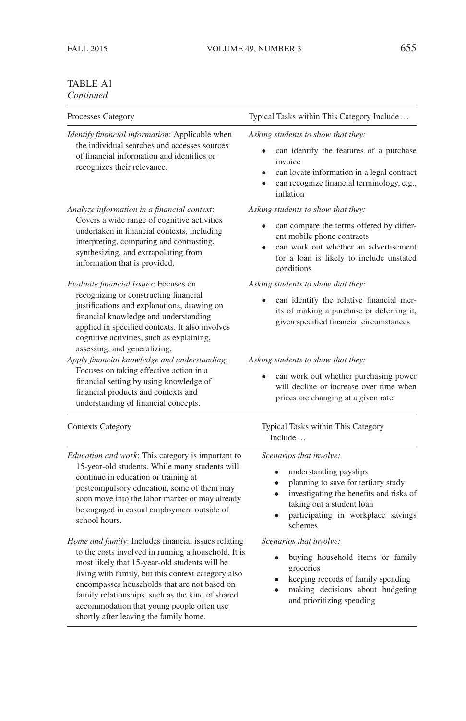# TABLE A1 *Continued*

| Processes Category                                                                                                                                                                                                                                                                                                                                    | Typical Tasks within This Category Include                                                                                                                                                                                    |  |  |
|-------------------------------------------------------------------------------------------------------------------------------------------------------------------------------------------------------------------------------------------------------------------------------------------------------------------------------------------------------|-------------------------------------------------------------------------------------------------------------------------------------------------------------------------------------------------------------------------------|--|--|
| Identify financial information: Applicable when                                                                                                                                                                                                                                                                                                       | Asking students to show that they:                                                                                                                                                                                            |  |  |
| the individual searches and accesses sources<br>of financial information and identifies or<br>recognizes their relevance.                                                                                                                                                                                                                             | can identify the features of a purchase<br>$\bullet$<br>invoice<br>can locate information in a legal contract<br>$\bullet$<br>can recognize financial terminology, e.g.,<br>inflation                                         |  |  |
| Analyze information in a financial context:                                                                                                                                                                                                                                                                                                           | Asking students to show that they:                                                                                                                                                                                            |  |  |
| Covers a wide range of cognitive activities<br>undertaken in financial contexts, including<br>interpreting, comparing and contrasting,<br>synthesizing, and extrapolating from<br>information that is provided.                                                                                                                                       | can compare the terms offered by differ-<br>ent mobile phone contracts<br>can work out whether an advertisement<br>$\bullet$<br>for a loan is likely to include unstated<br>conditions                                        |  |  |
| Evaluate financial issues: Focuses on                                                                                                                                                                                                                                                                                                                 | Asking students to show that they:                                                                                                                                                                                            |  |  |
| recognizing or constructing financial<br>justifications and explanations, drawing on<br>financial knowledge and understanding<br>applied in specified contexts. It also involves<br>cognitive activities, such as explaining,<br>assessing, and generalizing.                                                                                         | can identify the relative financial mer-<br>its of making a purchase or deferring it,<br>given specified financial circumstances                                                                                              |  |  |
| Apply financial knowledge and understanding:                                                                                                                                                                                                                                                                                                          | Asking students to show that they:                                                                                                                                                                                            |  |  |
| Focuses on taking effective action in a<br>financial setting by using knowledge of<br>financial products and contexts and<br>understanding of financial concepts.                                                                                                                                                                                     | can work out whether purchasing power<br>will decline or increase over time when<br>prices are changing at a given rate                                                                                                       |  |  |
| <b>Contexts Category</b>                                                                                                                                                                                                                                                                                                                              | Typical Tasks within This Category<br>Include                                                                                                                                                                                 |  |  |
| Education and work: This category is important to                                                                                                                                                                                                                                                                                                     | Scenarios that involve:                                                                                                                                                                                                       |  |  |
| 15-year-old students. While many students will<br>continue in education or training at<br>postcompulsory education, some of them may<br>soon move into the labor market or may already<br>be engaged in casual employment outside of<br>school hours.                                                                                                 | understanding payslips<br>planning to save for tertiary study<br>$\bullet$<br>investigating the benefits and risks of<br>$\bullet$<br>taking out a student loan<br>participating in workplace savings<br>$\bullet$<br>schemes |  |  |
| Home and family: Includes financial issues relating                                                                                                                                                                                                                                                                                                   | Scenarios that involve:                                                                                                                                                                                                       |  |  |
| to the costs involved in running a household. It is<br>most likely that 15-year-old students will be<br>living with family, but this context category also<br>encompasses households that are not based on<br>family relationships, such as the kind of shared<br>accommodation that young people often use<br>shortly after leaving the family home. | buying household items or family<br>groceries<br>keeping records of family spending<br>making decisions about budgeting<br>and prioritizing spending                                                                          |  |  |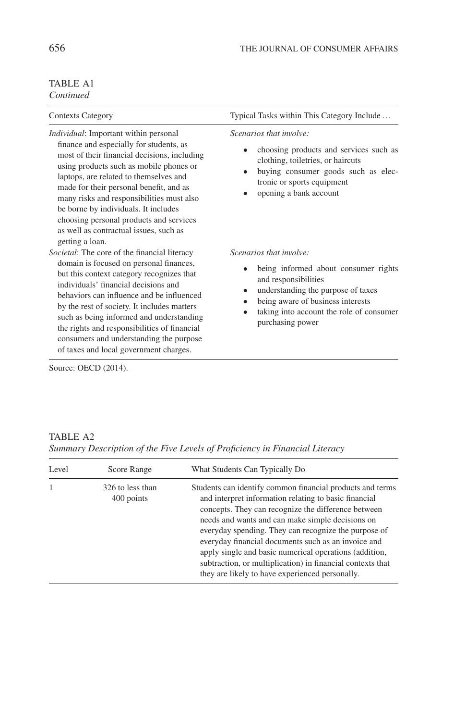# TABLE A1 *Continued*

| <b>Contexts Category</b>                                                                                                                                                                                                                                                                                                                                                                                                                                                            | Typical Tasks within This Category Include                                                                                                                                                                                              |
|-------------------------------------------------------------------------------------------------------------------------------------------------------------------------------------------------------------------------------------------------------------------------------------------------------------------------------------------------------------------------------------------------------------------------------------------------------------------------------------|-----------------------------------------------------------------------------------------------------------------------------------------------------------------------------------------------------------------------------------------|
| <i>Individual:</i> Important within personal<br>finance and especially for students, as<br>most of their financial decisions, including<br>using products such as mobile phones or<br>laptops, are related to themselves and<br>made for their personal benefit, and as<br>many risks and responsibilities must also<br>be borne by individuals. It includes<br>choosing personal products and services<br>as well as contractual issues, such as                                   | Scenarios that involve:<br>choosing products and services such as<br>clothing, toiletries, or haircuts<br>buying consumer goods such as elec-<br>٠<br>tronic or sports equipment<br>opening a bank account                              |
| getting a loan.<br><i>Societal:</i> The core of the financial literacy<br>domain is focused on personal finances,<br>but this context category recognizes that<br>individuals' financial decisions and<br>behaviors can influence and be influenced<br>by the rest of society. It includes matters<br>such as being informed and understanding<br>the rights and responsibilities of financial<br>consumers and understanding the purpose<br>of taxes and local government charges. | Scenarios that involve:<br>being informed about consumer rights<br>and responsibilities<br>understanding the purpose of taxes<br>٠<br>being aware of business interests<br>taking into account the role of consumer<br>purchasing power |

Source: OECD (2014).

TABLE A2 *Summary Description of the Five Levels of Proficiency in Financial Literacy*

| Level | Score Range                    | What Students Can Typically Do                                                                                                                                                                                                                                                                                                                                                                                                                                                                                          |
|-------|--------------------------------|-------------------------------------------------------------------------------------------------------------------------------------------------------------------------------------------------------------------------------------------------------------------------------------------------------------------------------------------------------------------------------------------------------------------------------------------------------------------------------------------------------------------------|
|       | 326 to less than<br>400 points | Students can identify common financial products and terms<br>and interpret information relating to basic financial<br>concepts. They can recognize the difference between<br>needs and wants and can make simple decisions on<br>everyday spending. They can recognize the purpose of<br>everyday financial documents such as an invoice and<br>apply single and basic numerical operations (addition,<br>subtraction, or multiplication) in financial contexts that<br>they are likely to have experienced personally. |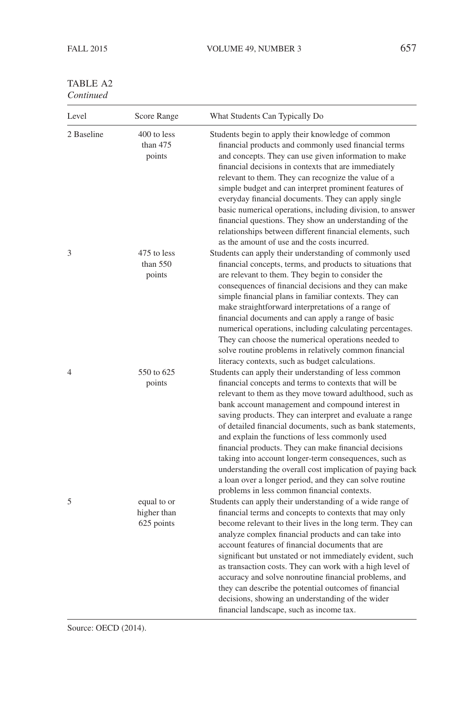## TABLE A2 *Continued*

| Level          | Score Range                              | What Students Can Typically Do                                                                                                                                                                                                                                                                                                                                                                                                                                                                                                                                                                                                                                                                     |
|----------------|------------------------------------------|----------------------------------------------------------------------------------------------------------------------------------------------------------------------------------------------------------------------------------------------------------------------------------------------------------------------------------------------------------------------------------------------------------------------------------------------------------------------------------------------------------------------------------------------------------------------------------------------------------------------------------------------------------------------------------------------------|
| 2 Baseline     | 400 to less<br>than $475$<br>points      | Students begin to apply their knowledge of common<br>financial products and commonly used financial terms<br>and concepts. They can use given information to make<br>financial decisions in contexts that are immediately<br>relevant to them. They can recognize the value of a<br>simple budget and can interpret prominent features of<br>everyday financial documents. They can apply single<br>basic numerical operations, including division, to answer<br>financial questions. They show an understanding of the<br>relationships between different financial elements, such<br>as the amount of use and the costs incurred.                                                                |
| 3              | 475 to less<br>than $550$<br>points      | Students can apply their understanding of commonly used<br>financial concepts, terms, and products to situations that<br>are relevant to them. They begin to consider the<br>consequences of financial decisions and they can make<br>simple financial plans in familiar contexts. They can<br>make straightforward interpretations of a range of<br>financial documents and can apply a range of basic<br>numerical operations, including calculating percentages.<br>They can choose the numerical operations needed to<br>solve routine problems in relatively common financial<br>literacy contexts, such as budget calculations.                                                              |
| $\overline{4}$ | 550 to 625<br>points                     | Students can apply their understanding of less common<br>financial concepts and terms to contexts that will be<br>relevant to them as they move toward adulthood, such as<br>bank account management and compound interest in<br>saving products. They can interpret and evaluate a range<br>of detailed financial documents, such as bank statements,<br>and explain the functions of less commonly used<br>financial products. They can make financial decisions<br>taking into account longer-term consequences, such as<br>understanding the overall cost implication of paying back<br>a loan over a longer period, and they can solve routine<br>problems in less common financial contexts. |
| 5              | equal to or<br>higher than<br>625 points | Students can apply their understanding of a wide range of<br>financial terms and concepts to contexts that may only<br>become relevant to their lives in the long term. They can<br>analyze complex financial products and can take into<br>account features of financial documents that are<br>significant but unstated or not immediately evident, such<br>as transaction costs. They can work with a high level of<br>accuracy and solve nonroutine financial problems, and<br>they can describe the potential outcomes of financial<br>decisions, showing an understanding of the wider<br>financial landscape, such as income tax.                                                            |

Source: OECD (2014).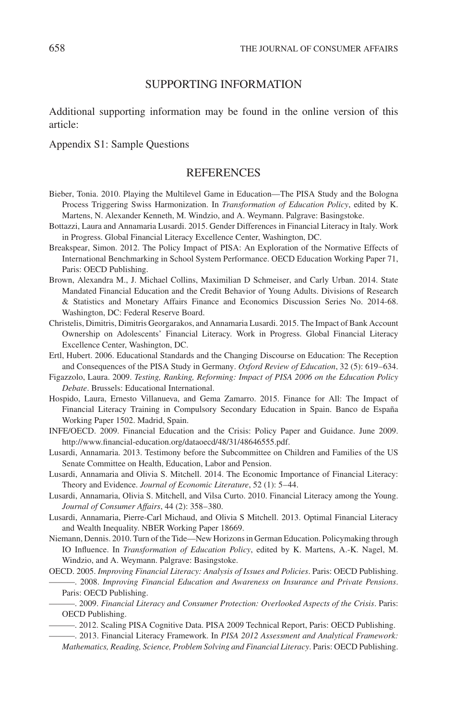# SUPPORTING INFORMATION

Additional supporting information may be found in the online version of this article:

Appendix S1: Sample Questions

# **REFERENCES**

- Bieber, Tonia. 2010. Playing the Multilevel Game in Education—The PISA Study and the Bologna Process Triggering Swiss Harmonization. In *Transformation of Education Policy*, edited by K. Martens, N. Alexander Kenneth, M. Windzio, and A. Weymann. Palgrave: Basingstoke.
- Bottazzi, Laura and Annamaria Lusardi. 2015. Gender Differences in Financial Literacy in Italy. Work in Progress. Global Financial Literacy Excellence Center, Washington, DC.
- Breakspear, Simon. 2012. The Policy Impact of PISA: An Exploration of the Normative Effects of International Benchmarking in School System Performance. OECD Education Working Paper 71, Paris: OECD Publishing.
- Brown, Alexandra M., J. Michael Collins, Maximilian D Schmeiser, and Carly Urban. 2014. State Mandated Financial Education and the Credit Behavior of Young Adults. Divisions of Research & Statistics and Monetary Affairs Finance and Economics Discussion Series No. 2014-68. Washington, DC: Federal Reserve Board.
- Christelis, Dimitris, Dimitris Georgarakos, and Annamaria Lusardi. 2015. The Impact of Bank Account Ownership on Adolescents' Financial Literacy. Work in Progress. Global Financial Literacy Excellence Center, Washington, DC.
- Ertl, Hubert. 2006. Educational Standards and the Changing Discourse on Education: The Reception and Consequences of the PISA Study in Germany. *Oxford Review of Education*, 32 (5): 619–634.
- Figazzolo, Laura. 2009. *Testing, Ranking, Reforming: Impact of PISA 2006 on the Education Policy Debate*. Brussels: Educational International.
- Hospido, Laura, Ernesto Villanueva, and Gema Zamarro. 2015. Finance for All: The Impact of Financial Literacy Training in Compulsory Secondary Education in Spain. Banco de España Working Paper 1502. Madrid, Spain.
- INFE/OECD. 2009. Financial Education and the Crisis: Policy Paper and Guidance. June 2009. http://www.financial-education.org/dataoecd/48/31/48646555.pdf.
- Lusardi, Annamaria. 2013. Testimony before the Subcommittee on Children and Families of the US Senate Committee on Health, Education, Labor and Pension.
- Lusardi, Annamaria and Olivia S. Mitchell. 2014. The Economic Importance of Financial Literacy: Theory and Evidence. *Journal of Economic Literature*, 52 (1): 5–44.
- Lusardi, Annamaria, Olivia S. Mitchell, and Vilsa Curto. 2010. Financial Literacy among the Young. *Journal of Consumer Affairs*, 44 (2): 358–380.
- Lusardi, Annamaria, Pierre-Carl Michaud, and Olivia S Mitchell. 2013. Optimal Financial Literacy and Wealth Inequality. NBER Working Paper 18669.
- Niemann, Dennis. 2010. Turn of the Tide—New Horizons in German Education. Policymaking through IO Influence. In *Transformation of Education Policy*, edited by K. Martens, A.-K. Nagel, M. Windzio, and A. Weymann. Palgrave: Basingstoke.
- OECD. 2005. *Improving Financial Literacy: Analysis of Issues and Policies*. Paris: OECD Publishing. ———. 2008. *Improving Financial Education and Awareness on Insurance and Private Pensions*. Paris: OECD Publishing.
	- ———. 2009. *Financial Literacy and Consumer Protection: Overlooked Aspects of the Crisis*. Paris: OECD Publishing.
		- ———. 2012. Scaling PISA Cognitive Data. PISA 2009 Technical Report, Paris: OECD Publishing.
		- ———. 2013. Financial Literacy Framework. In *PISA 2012 Assessment and Analytical Framework: Mathematics, Reading, Science, Problem Solving and Financial Literacy*. Paris: OECD Publishing.